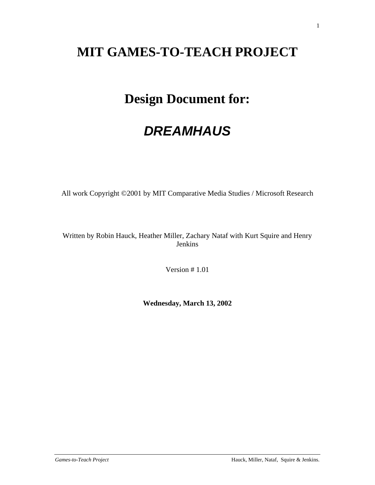# **MIT GAMES-TO-TEACH PROJECT**

# **Design Document for:**

# *DREAMHAUS*

All work Copyright ©2001 by MIT Comparative Media Studies / Microsoft Research

Written by Robin Hauck, Heather Miller, Zachary Nataf with Kurt Squire and Henry Jenkins

Version # 1.01

**Wednesday, March 13, 2002**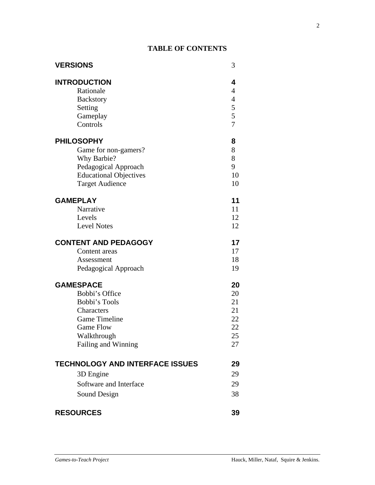# **TABLE OF CONTENTS**

| <b>VERSIONS</b>                                                                         | 3                                                                   |
|-----------------------------------------------------------------------------------------|---------------------------------------------------------------------|
| <b>INTRODUCTION</b><br>Rationale<br><b>Backstory</b><br>Setting<br>Gameplay<br>Controls | 4<br>$\overline{\mathcal{L}}$<br>$rac{4}{5}$<br>5<br>$\overline{7}$ |
| <b>PHILOSOPHY</b>                                                                       | 8                                                                   |
| Game for non-gamers?                                                                    | 8                                                                   |
| Why Barbie?                                                                             | 8                                                                   |
| Pedagogical Approach                                                                    | 9                                                                   |
| <b>Educational Objectives</b>                                                           | 10                                                                  |
| <b>Target Audience</b>                                                                  | 10                                                                  |
| <b>GAMEPLAY</b>                                                                         | 11                                                                  |
| Narrative                                                                               | 11                                                                  |
| Levels                                                                                  | 12                                                                  |
| <b>Level Notes</b>                                                                      | 12                                                                  |
| <b>CONTENT AND PEDAGOGY</b>                                                             | 17                                                                  |
| Content areas                                                                           | 17                                                                  |
| Assessment                                                                              | 18                                                                  |
| Pedagogical Approach                                                                    | 19                                                                  |
| <b>GAMESPACE</b>                                                                        | 20                                                                  |
| Bobbi's Office                                                                          | 20                                                                  |
| Bobbi's Tools                                                                           | 21                                                                  |
| Characters                                                                              | 21                                                                  |
| <b>Game Timeline</b>                                                                    | 22                                                                  |
| <b>Game Flow</b>                                                                        | 22                                                                  |
| Walkthrough                                                                             | 25                                                                  |
| Failing and Winning                                                                     | 27                                                                  |
| <b>TECHNOLOGY AND INTERFACE ISSUES</b>                                                  | 29                                                                  |
| 3D Engine                                                                               | 29                                                                  |
| Software and Interface                                                                  | 29                                                                  |
| Sound Design                                                                            | 38                                                                  |
| <b>RESOURCES</b>                                                                        | 39                                                                  |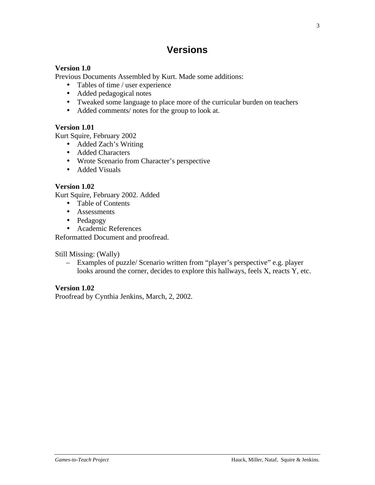# **Versions**

# **Version 1.0**

Previous Documents Assembled by Kurt. Made some additions:

- Tables of time / user experience
- Added pedagogical notes
- Tweaked some language to place more of the curricular burden on teachers
- Added comments/ notes for the group to look at.

# **Version 1.01**

Kurt Squire, February 2002

- Added Zach's Writing
- Added Characters
- Wrote Scenario from Character's perspective
- Added Visuals

# **Version 1.02**

Kurt Squire, February 2002. Added

- Table of Contents
- Assessments
- Pedagogy
- Academic References

Reformatted Document and proofread.

Still Missing: (Wally)

– Examples of puzzle/ Scenario written from "player's perspective" e.g. player looks around the corner, decides to explore this hallways, feels X, reacts Y, etc.

# **Version 1.02**

Proofread by Cynthia Jenkins, March, 2, 2002.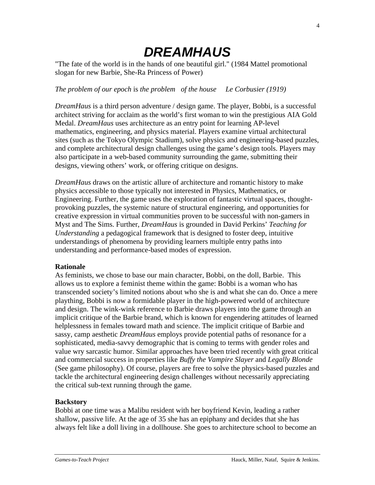# *DREAMHAUS*

"The fate of the world is in the hands of one beautiful girl." (1984 Mattel promotional slogan for new Barbie, She-Ra Princess of Power)

# *The problem of our epoch* is *the problem of the house Le Corbusier (1919)*

*DreamHaus* is a third person adventure / design game. The player, Bobbi, is a successful architect striving for acclaim as the world's first woman to win the prestigious AIA Gold Medal. *DreamHaus* uses architecture as an entry point for learning AP-level mathematics, engineering, and physics material. Players examine virtual architectural sites (such as the Tokyo Olympic Stadium), solve physics and engineering-based puzzles, and complete architectural design challenges using the game's design tools. Players may also participate in a web-based community surrounding the game, submitting their designs, viewing others' work, or offering critique on designs.

*DreamHaus* draws on the artistic allure of architecture and romantic history to make physics accessible to those typically not interested in Physics, Mathematics, or Engineering. Further, the game uses the exploration of fantastic virtual spaces, thoughtprovoking puzzles, the systemic nature of structural engineering, and opportunities for creative expression in virtual communities proven to be successful with non-gamers in Myst and The Sims. Further, *DreamHaus* is grounded in David Perkins' *Teaching for Understanding* a pedagogical framework that is designed to foster deep, intuitive understandings of phenomena by providing learners multiple entry paths into understanding and performance-based modes of expression.

#### **Rationale**

As feminists, we chose to base our main character, Bobbi, on the doll, Barbie. This allows us to explore a feminist theme within the game: Bobbi is a woman who has transcended society's limited notions about who she is and what she can do. Once a mere plaything, Bobbi is now a formidable player in the high-powered world of architecture and design. The wink-wink reference to Barbie draws players into the game through an implicit critique of the Barbie brand, which is known for engendering attitudes of learned helplessness in females toward math and science. The implicit critique of Barbie and sassy, camp aesthetic *DreamHaus* employs provide potential paths of resonance for a sophisticated, media-savvy demographic that is coming to terms with gender roles and value wry sarcastic humor. Similar approaches have been tried recently with great critical and commercial success in properties like *Buffy the Vampire Slayer* and *Legally Blonde* (See game philosophy). Of course, players are free to solve the physics-based puzzles and tackle the architectural engineering design challenges without necessarily appreciating the critical sub-text running through the game.

# **Backstory**

Bobbi at one time was a Malibu resident with her boyfriend Kevin, leading a rather shallow, passive life. At the age of 35 she has an epiphany and decides that she has always felt like a doll living in a dollhouse. She goes to architecture school to become an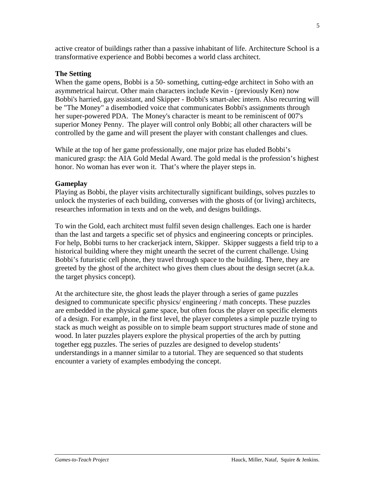active creator of buildings rather than a passive inhabitant of life. Architecture School is a transformative experience and Bobbi becomes a world class architect.

## **The Setting**

When the game opens, Bobbi is a 50- something, cutting-edge architect in Soho with an asymmetrical haircut. Other main characters include Kevin - (previously Ken) now Bobbi's harried, gay assistant, and Skipper - Bobbi's smart-alec intern. Also recurring will be "The Money" a disembodied voice that communicates Bobbi's assignments through her super-powered PDA. The Money's character is meant to be reminiscent of 007's superior Money Penny. The player will control only Bobbi; all other characters will be controlled by the game and will present the player with constant challenges and clues.

While at the top of her game professionally, one major prize has eluded Bobbi's manicured grasp: the AIA Gold Medal Award. The gold medal is the profession's highest honor. No woman has ever won it. That's where the player steps in.

#### **Gameplay**

Playing as Bobbi, the player visits architecturally significant buildings, solves puzzles to unlock the mysteries of each building, converses with the ghosts of (or living) architects, researches information in texts and on the web, and designs buildings.

To win the Gold, each architect must fulfil seven design challenges. Each one is harder than the last and targets a specific set of physics and engineering concepts or principles. For help, Bobbi turns to her crackerjack intern, Skipper. Skipper suggests a field trip to a historical building where they might unearth the secret of the current challenge. Using Bobbi's futuristic cell phone, they travel through space to the building. There, they are greeted by the ghost of the architect who gives them clues about the design secret (a.k.a. the target physics concept).

At the architecture site, the ghost leads the player through a series of game puzzles designed to communicate specific physics/ engineering / math concepts. These puzzles are embedded in the physical game space, but often focus the player on specific elements of a design. For example, in the first level, the player completes a simple puzzle trying to stack as much weight as possible on to simple beam support structures made of stone and wood. In later puzzles players explore the physical properties of the arch by putting together egg puzzles. The series of puzzles are designed to develop students' understandings in a manner similar to a tutorial. They are sequenced so that students encounter a variety of examples embodying the concept.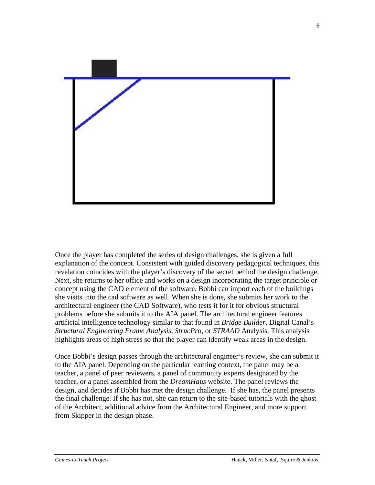

Once the player has completed the series of design challenges, she is given a full explanation of the concept. Consistent with guided discovery pedagogical techniques, this revelation coincides with the player's discovery of the secret behind the design challenge. Next, she returns to her office and works on a design incorporating the target principle or concept using the CAD element of the software. Bobbi can import each of the buildings she visits into the cad software as well. When she is done, she submits her work to the architectural engineer (the CAD Software), who tests it for it for obvious structural problems before she submits it to the AIA panel. The architectural engineer features artificial intelligence technology similar to that found in *Bridge Builder*, Digital Canal's *Structural Engineering Frame Analysis*, *StrucPro*, or *STRAAD* Analysis. This analysis highlights areas of high stress so that the player can identify weak areas in the design.

Once Bobbi's design passes through the architectural engineer's review, she can submit it to the AIA panel. Depending on the particular learning context, the panel may be a teacher, a panel of peer reviewers, a panel of community experts designated by the teacher, or a panel assembled from the *DreamHaus* website. The panel reviews the design, and decides if Bobbi has met the design challenge. If she has, the panel presents the final challenge. If she has not, she can return to the site-based tutorials with the ghost of the Architect, additional advice from the Architectural Engineer, and more support from Skipper in the design phase.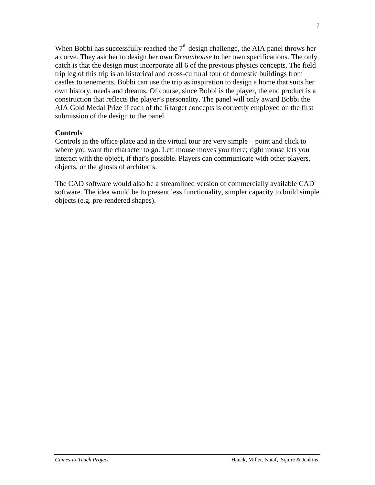When Bobbi has successfully reached the 7<sup>th</sup> design challenge, the AIA panel throws her a curve. They ask her to design her own *Dreamhouse* to her own specifications. The only catch is that the design must incorporate all 6 of the previous physics concepts. The field trip leg of this trip is an historical and cross-cultural tour of domestic buildings from castles to tenements. Bobbi can use the trip as inspiration to design a home that suits her own history, needs and dreams. Of course, since Bobbi is the player, the end product is a construction that reflects the player's personality. The panel will only award Bobbi the AIA Gold Medal Prize if each of the 6 target concepts is correctly employed on the first submission of the design to the panel.

#### **Controls**

Controls in the office place and in the virtual tour are very simple – point and click to where you want the character to go. Left mouse moves you there; right mouse lets you interact with the object, if that's possible. Players can communicate with other players, objects, or the ghosts of architects.

The CAD software would also be a streamlined version of commercially available CAD software. The idea would be to present less functionality, simpler capacity to build simple objects (e.g. pre-rendered shapes).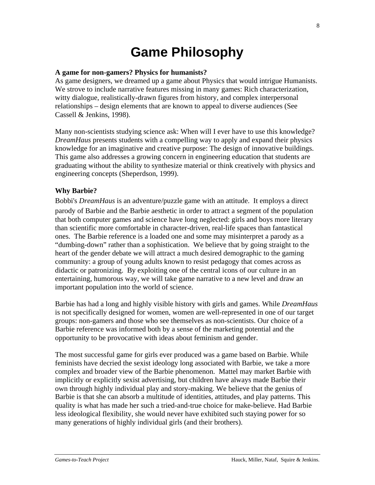# **Game Philosophy**

#### **A game for non-gamers? Physics for humanists?**

As game designers, we dreamed up a game about Physics that would intrigue Humanists. We strove to include narrative features missing in many games: Rich characterization, witty dialogue, realistically-drawn figures from history, and complex interpersonal relationships – design elements that are known to appeal to diverse audiences (See Cassell & Jenkins, 1998).

Many non-scientists studying science ask: When will I ever have to use this knowledge? *DreamHaus* presents students with a compelling way to apply and expand their physics knowledge for an imaginative and creative purpose: The design of innovative buildings. This game also addresses a growing concern in engineering education that students are graduating without the ability to synthesize material or think creatively with physics and engineering concepts (Sheperdson, 1999).

#### **Why Barbie?**

Bobbi's *DreamHaus* is an adventure/puzzle game with an attitude. It employs a direct parody of Barbie and the Barbie aesthetic in order to attract a segment of the population that both computer games and science have long neglected: girls and boys more literary than scientific more comfortable in character-driven, real-life spaces than fantastical ones. The Barbie reference is a loaded one and some may misinterpret a parody as a "dumbing-down" rather than a sophistication. We believe that by going straight to the heart of the gender debate we will attract a much desired demographic to the gaming community: a group of young adults known to resist pedagogy that comes across as didactic or patronizing. By exploiting one of the central icons of our culture in an entertaining, humorous way, we will take game narrative to a new level and draw an important population into the world of science.

Barbie has had a long and highly visible history with girls and games. While *DreamHaus* is not specifically designed for women, women are well-represented in one of our target groups: non-gamers and those who see themselves as non-scientists. Our choice of a Barbie reference was informed both by a sense of the marketing potential and the opportunity to be provocative with ideas about feminism and gender.

The most successful game for girls ever produced was a game based on Barbie. While feminists have decried the sexist ideology long associated with Barbie, we take a more complex and broader view of the Barbie phenomenon. Mattel may market Barbie with implicitly or explicitly sexist advertising, but children have always made Barbie their own through highly individual play and story-making. We believe that the genius of Barbie is that she can absorb a multitude of identities, attitudes, and play patterns. This quality is what has made her such a tried-and-true choice for make-believe. Had Barbie less ideological flexibility, she would never have exhibited such staying power for so many generations of highly individual girls (and their brothers).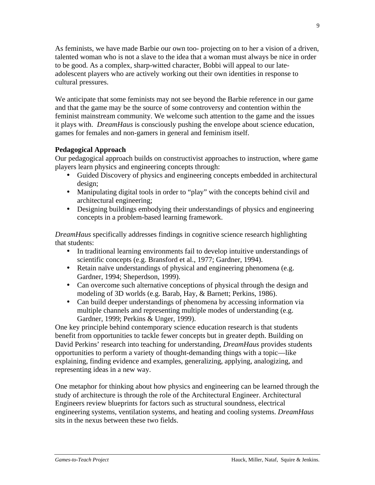As feminists, we have made Barbie our own too- projecting on to her a vision of a driven, talented woman who is not a slave to the idea that a woman must always be nice in order to be good. As a complex, sharp-witted character, Bobbi will appeal to our lateadolescent players who are actively working out their own identities in response to cultural pressures.

We anticipate that some feminists may not see beyond the Barbie reference in our game and that the game may be the source of some controversy and contention within the feminist mainstream community. We welcome such attention to the game and the issues it plays with. *DreamHaus* is consciously pushing the envelope about science education, games for females and non-gamers in general and feminism itself.

# **Pedagogical Approach**

Our pedagogical approach builds on constructivist approaches to instruction, where game players learn physics and engineering concepts through:

- Guided Discovery of physics and engineering concepts embedded in architectural design;
- Manipulating digital tools in order to "play" with the concepts behind civil and architectural engineering;
- Designing buildings embodying their understandings of physics and engineering concepts in a problem-based learning framework.

*DreamHaus* specifically addresses findings in cognitive science research highlighting that students:

- In traditional learning environments fail to develop intuitive understandings of scientific concepts (e.g. Bransford et al., 1977; Gardner, 1994).
- Retain naïve understandings of physical and engineering phenomena (e.g. Gardner, 1994; Sheperdson, 1999).
- Can overcome such alternative conceptions of physical through the design and modeling of 3D worlds (e.g. Barab, Hay, & Barnett; Perkins, 1986).
- Can build deeper understandings of phenomena by accessing information via multiple channels and representing multiple modes of understanding (e.g. Gardner, 1999; Perkins & Unger, 1999).

One key principle behind contemporary science education research is that students benefit from opportunities to tackle fewer concepts but in greater depth. Building on David Perkins' research into teaching for understanding, *DreamHaus* provides students opportunities to perform a variety of thought-demanding things with a topic—like explaining, finding evidence and examples, generalizing, applying, analogizing, and representing ideas in a new way.

One metaphor for thinking about how physics and engineering can be learned through the study of architecture is through the role of the Architectural Engineer. Architectural Engineers review blueprints for factors such as structural soundness, electrical engineering systems, ventilation systems, and heating and cooling systems. *DreamHaus* sits in the nexus between these two fields.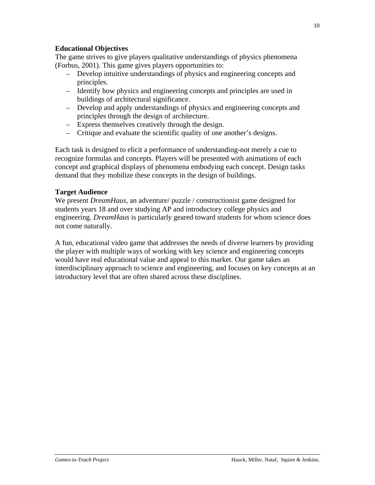# **Educational Objectives**

The game strives to give players qualitative understandings of physics phenomena (Forbus, 2001). This game gives players opportunities to:

- Develop intuitive understandings of physics and engineering concepts and principles.
- Identify how physics and engineering concepts and principles are used in buildings of architectural significance.
- Develop and apply understandings of physics and engineering concepts and principles through the design of architecture.
- Express themselves creatively through the design.
- Critique and evaluate the scientific quality of one another's designs.

Each task is designed to elicit a performance of understanding-not merely a cue to recognize formulas and concepts. Players will be presented with animations of each concept and graphical displays of phenomena embodying each concept. Design tasks demand that they mobilize these concepts in the design of buildings.

# **Target Audience**

We present *DreamHaus*, an adventure/ puzzle / constructionist game designed for students years 18 and over studying AP and introductory college physics and engineering. *DreamHaus* is particularly geared toward students for whom science does not come naturally.

A fun, educational video game that addresses the needs of diverse learners by providing the player with multiple ways of working with key science and engineering concepts would have real educational value and appeal to this market. Our game takes an interdisciplinary approach to science and engineering, and focuses on key concepts at an introductory level that are often shared across these disciplines.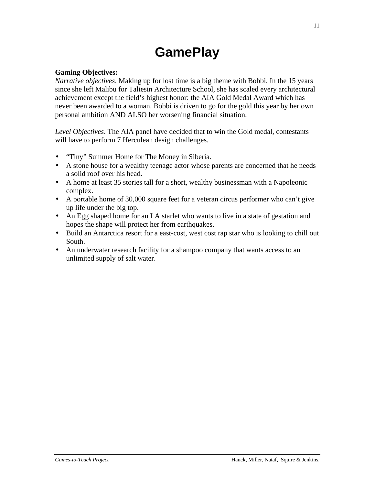# **GamePlay**

# **Gaming Objectives:**

*Narrative objectives*. Making up for lost time is a big theme with Bobbi, In the 15 years since she left Malibu for Taliesin Architecture School, she has scaled every architectural achievement except the field's highest honor: the AIA Gold Medal Award which has never been awarded to a woman. Bobbi is driven to go for the gold this year by her own personal ambition AND ALSO her worsening financial situation.

*Level Objectives*. The AIA panel have decided that to win the Gold medal, contestants will have to perform 7 Herculean design challenges.

- "Tiny" Summer Home for The Money in Siberia.
- A stone house for a wealthy teenage actor whose parents are concerned that he needs a solid roof over his head.
- A home at least 35 stories tall for a short, wealthy businessman with a Napoleonic complex.
- A portable home of 30,000 square feet for a veteran circus performer who can't give up life under the big top.
- An Egg shaped home for an LA starlet who wants to live in a state of gestation and hopes the shape will protect her from earthquakes.
- Build an Antarctica resort for a east-cost, west cost rap star who is looking to chill out South.
- An underwater research facility for a shampoo company that wants access to an unlimited supply of salt water.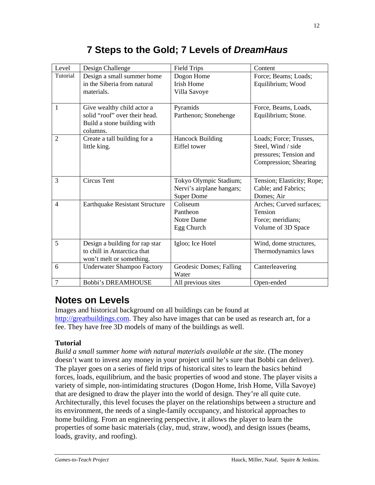# **7 Steps to the Gold; 7 Levels of** *DreamHaus*

| Level          | Design Challenge                        | <b>Field Trips</b>        | Content                    |
|----------------|-----------------------------------------|---------------------------|----------------------------|
| Tutorial       | Design a small summer home              | Dogon Home                | Force; Beams; Loads;       |
|                | in the Siberia from natural             | <b>Irish Home</b>         | Equilibrium; Wood          |
|                | materials.                              | Villa Savoye              |                            |
| $\mathbf{1}$   | Give wealthy child actor a              | Pyramids                  | Force, Beams, Loads,       |
|                | solid "roof" over their head.           | Parthenon; Stonehenge     | Equilibrium; Stone.        |
|                | Build a stone building with<br>columns. |                           |                            |
| $\overline{2}$ | Create a tall building for a            | <b>Hancock Building</b>   | Loads; Force; Trusses,     |
|                | little king.                            | Eiffel tower              | Steel, Wind / side         |
|                |                                         |                           | pressures; Tension and     |
|                |                                         |                           | Compression; Shearing      |
|                |                                         |                           |                            |
| 3              | <b>Circus Tent</b>                      | Tokyo Olympic Stadium;    | Tension; Elasticity; Rope; |
|                |                                         | Nervi's airplane hangars; | Cable; and Fabrics;        |
|                |                                         | <b>Super Dome</b>         | Domes; Air                 |
| $\overline{4}$ | <b>Earthquake Resistant Structure</b>   | Coliseum                  | Arches; Curved surfaces;   |
|                |                                         | Pantheon                  | Tension                    |
|                |                                         | Notre Dame                | Force; meridians;          |
|                |                                         | Egg Church                | Volume of 3D Space         |
| 5              | Design a building for rap star          | Igloo; Ice Hotel          | Wind, dome structures,     |
|                | to chill in Antarctica that             |                           | Thermodynamics laws        |
|                | won't melt or something.                |                           |                            |
| 6              | <b>Underwater Shampoo Factory</b>       | Geodesic Domes; Falling   | Canterleavering            |
|                |                                         | Water                     |                            |
| $\overline{7}$ | <b>Bobbi's DREAMHOUSE</b>               | All previous sites        | Open-ended                 |

# **Notes on Levels**

Images and historical background on all buildings can be found at http://greatbuildings.com. They also have images that can be used as research art, for a fee. They have free 3D models of many of the buildings as well.

# **Tutorial**

*Build a small summer home with natural materials available at the site.* (The money doesn't want to invest any money in your project until he's sure that Bobbi can deliver). The player goes on a series of field trips of historical sites to learn the basics behind forces, loads, equilibrium, and the basic properties of wood and stone. The player visits a variety of simple, non-intimidating structures (Dogon Home, Irish Home, Villa Savoye) that are designed to draw the player into the world of design. They're all quite cute. Architecturally, this level focuses the player on the relationships between a structure and its environment, the needs of a single-family occupancy, and historical approaches to home building. From an engineering perspective, it allows the player to learn the properties of some basic materials (clay, mud, straw, wood), and design issues (beams, loads, gravity, and roofing).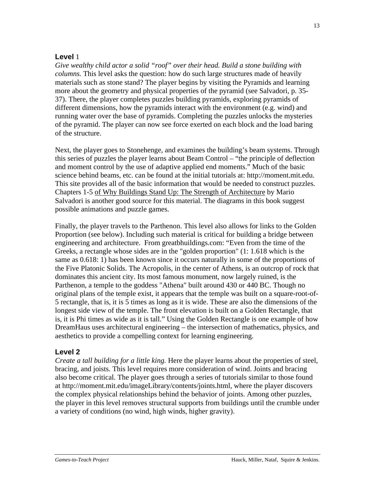# **Level** 1

*Give wealthy child actor a solid "roof" over their head. Build a stone building with columns.* This level asks the question: how do such large structures made of heavily materials such as stone stand? The player begins by visiting the Pyramids and learning more about the geometry and physical properties of the pyramid (see Salvadori, p. 35- 37). There, the player completes puzzles building pyramids, exploring pyramids of different dimensions, how the pyramids interact with the environment (e.g. wind) and running water over the base of pyramids. Completing the puzzles unlocks the mysteries of the pyramid. The player can now see force exerted on each block and the load baring of the structure.

Next, the player goes to Stonehenge, and examines the building's beam systems. Through this series of puzzles the player learns about Beam Control – "the principle of deflection and moment control by the use of adaptive applied end moments." Much of the basic science behind beams, etc. can be found at the initial tutorials at: http://moment.mit.edu. This site provides all of the basic information that would be needed to construct puzzles. Chapters 1-5 of Why Buildings Stand Up: The Strength of Architecture by Mario Salvadori is another good source for this material. The diagrams in this book suggest possible animations and puzzle games.

Finally, the player travels to the Parthenon. This level also allows for links to the Golden Proportion (see below). Including such material is critical for building a bridge between engineering and architecture. From greatbhuildings.com: "Even from the time of the Greeks, a rectangle whose sides are in the "golden proportion" (1: 1.618 which is the same as 0.618: 1) has been known since it occurs naturally in some of the proportions of the Five Platonic Solids. The Acropolis, in the center of Athens, is an outcrop of rock that dominates this ancient city. Its most famous monument, now largely ruined, is the Parthenon, a temple to the goddess "Athena" built around 430 or 440 BC. Though no original plans of the temple exist, it appears that the temple was built on a square-root-of-5 rectangle, that is, it is 5 times as long as it is wide. These are also the dimensions of the longest side view of the temple. The front elevation is built on a Golden Rectangle, that is, it is Phi times as wide as it is tall." Using the Golden Rectangle is one example of how DreamHaus uses architectural engineering – the intersection of mathematics, physics, and aesthetics to provide a compelling context for learning engineering.

# **Level 2**

*Create a tall building for a little king.* Here the player learns about the properties of steel, bracing, and joists. This level requires more consideration of wind. Joints and bracing also become critical. The player goes through a series of tutorials similar to those found at http://moment.mit.edu/imageLibrary/contents/joints.html, where the player discovers the complex physical relationships behind the behavior of joints. Among other puzzles, the player in this level removes structural supports from buildings until the crumble under a variety of conditions (no wind, high winds, higher gravity).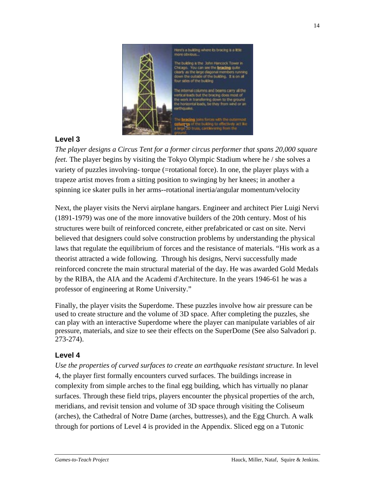

# **Level 3**

*The player designs a Circus Tent for a former circus performer that spans 20,000 square feet.* The player begins by visiting the Tokyo Olympic Stadium where he / she solves a variety of puzzles involving- torque (=rotational force). In one, the player plays with a trapeze artist moves from a sitting position to swinging by her knees; in another a spinning ice skater pulls in her arms--rotational inertia/angular momentum/velocity

Next, the player visits the Nervi airplane hangars. Engineer and architect Pier Luigi Nervi (1891-1979) was one of the more innovative builders of the 20th century. Most of his structures were built of reinforced concrete, either prefabricated or cast on site. Nervi believed that designers could solve construction problems by understanding the physical laws that regulate the equilibrium of forces and the resistance of materials. "His work as a theorist attracted a wide following. Through his designs, Nervi successfully made reinforced concrete the main structural material of the day. He was awarded Gold Medals by the RIBA, the AIA and the Academi d'Architecture. In the years 1946-61 he was a professor of engineering at Rome University."

Finally, the player visits the Superdome. These puzzles involve how air pressure can be used to create structure and the volume of 3D space. After completing the puzzles, she can play with an interactive Superdome where the player can manipulate variables of air pressure, materials, and size to see their effects on the SuperDome (See also Salvadori p. 273-274).

# **Level 4**

*Use the properties of curved surfaces to create an earthquake resistant structure.* In level 4, the player first formally encounters curved surfaces. The buildings increase in complexity from simple arches to the final egg building, which has virtually no planar surfaces. Through these field trips, players encounter the physical properties of the arch, meridians, and revisit tension and volume of 3D space through visiting the Coliseum (arches), the Cathedral of Notre Dame (arches, buttresses), and the Egg Church. A walk through for portions of Level 4 is provided in the Appendix. Sliced egg on a Tutonic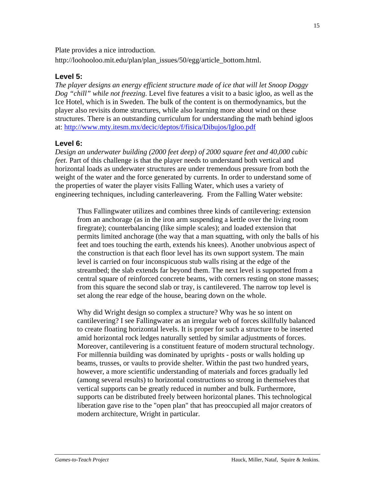Plate provides a nice introduction.

http://loohooloo.mit.edu/plan/plan\_issues/50/egg/article\_bottom.html.

# **Level 5:**

*The player designs an energy efficient structure made of ice that will let Snoop Doggy Dog "chill" while not freezing.* Level five features a visit to a basic igloo, as well as the Ice Hotel, which is in Sweden. The bulk of the content is on thermodynamics, but the player also revisits dome structures, while also learning more about wind on these structures. There is an outstanding curriculum for understanding the math behind igloos at: http://www.mty.itesm.mx/decic/deptos/f/fisica/Dibujos/Igloo.pdf

# **Level 6:**

*Design an underwater building (2000 feet deep) of 2000 square feet and 40,000 cubic feet.* Part of this challenge is that the player needs to understand both vertical and horizontal loads as underwater structures are under tremendous pressure from both the weight of the water and the force generated by currents. In order to understand some of the properties of water the player visits Falling Water, which uses a variety of engineering techniques, including canterleavering. From the Falling Water website:

Thus Fallingwater utilizes and combines three kinds of cantilevering: extension from an anchorage (as in the iron arm suspending a kettle over the living room firegrate); counterbalancing (like simple scales); and loaded extension that permits limited anchorage (the way that a man squatting, with only the balls of his feet and toes touching the earth, extends his knees). Another unobvious aspect of the construction is that each floor level has its own support system. The main level is carried on four inconspicuous stub walls rising at the edge of the streambed; the slab extends far beyond them. The next level is supported from a central square of reinforced concrete beams, with corners resting on stone masses; from this square the second slab or tray, is cantilevered. The narrow top level is set along the rear edge of the house, bearing down on the whole.

Why did Wright design so complex a structure? Why was he so intent on cantilevering? I see Fallingwater as an irregular web of forces skillfully balanced to create floating horizontal levels. It is proper for such a structure to be inserted amid horizontal rock ledges naturally settled by similar adjustments of forces. Moreover, cantilevering is a constituent feature of modern structural technology. For millennia building was dominated by uprights - posts or walls holding up beams, trusses, or vaults to provide shelter. Within the past two hundred years, however, a more scientific understanding of materials and forces gradually led (among several results) to horizontal constructions so strong in themselves that vertical supports can be greatly reduced in number and bulk. Furthermore, supports can be distributed freely between horizontal planes. This technological liberation gave rise to the "open plan" that has preoccupied all major creators of modern architecture, Wright in particular.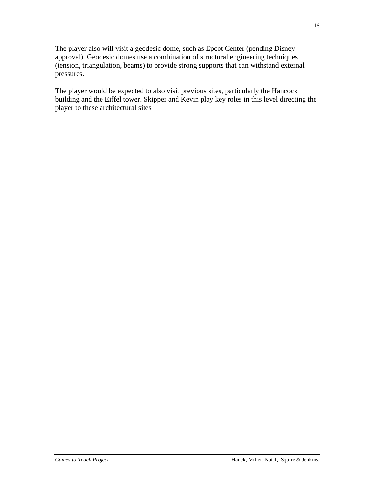The player also will visit a geodesic dome, such as Epcot Center (pending Disney approval). Geodesic domes use a combination of structural engineering techniques (tension, triangulation, beams) to provide strong supports that can withstand external pressures.

The player would be expected to also visit previous sites, particularly the Hancock building and the Eiffel tower. Skipper and Kevin play key roles in this level directing the player to these architectural sites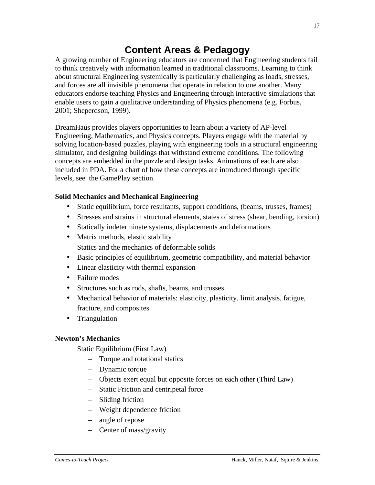# **Content Areas & Pedagogy**

A growing number of Engineering educators are concerned that Engineering students fail to think creatively with information learned in traditional classrooms. Learning to think about structural Engineering systemically is particularly challenging as loads, stresses, and forces are all invisible phenomena that operate in relation to one another. Many educators endorse teaching Physics and Engineering through interactive simulations that enable users to gain a qualitative understanding of Physics phenomena (e.g. Forbus, 2001; Sheperdson, 1999).

DreamHaus provides players opportunities to learn about a variety of AP-level Engineering, Mathematics, and Physics concepts. Players engage with the material by solving location-based puzzles, playing with engineering tools in a structural engineering simulator, and designing buildings that withstand extreme conditions. The following concepts are embedded in the puzzle and design tasks. Animations of each are also included in PDA. For a chart of how these concepts are introduced through specific levels, see the GamePlay section.

# **Solid Mechanics and Mechanical Engineering**

- Static equilibrium, force resultants, support conditions, (beams, trusses, frames)
- Stresses and strains in structural elements, states of stress (shear, bending, torsion)
- Statically indeterminate systems, displacements and deformations
- Matrix methods, elastic stability Statics and the mechanics of deformable solids
- Basic principles of equilibrium, geometric compatibility, and material behavior
- Linear elasticity with thermal expansion
- Failure modes
- Structures such as rods, shafts, beams, and trusses.
- Mechanical behavior of materials: elasticity, plasticity, limit analysis, fatigue, fracture, and composites
- Triangulation

# **Newton's Mechanics**

Static Equilibrium (First Law)

- Torque and rotational statics
- Dynamic torque
- Objects exert equal but opposite forces on each other (Third Law)
- Static Friction and centripetal force
- Sliding friction
- Weight dependence friction
- angle of repose
- Center of mass/gravity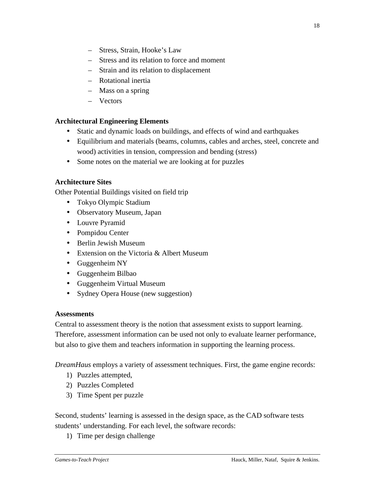- Stress, Strain, Hooke's Law
- Stress and its relation to force and moment
- Strain and its relation to displacement
- Rotational inertia
- Mass on a spring
- Vectors

## **Architectural Engineering Elements**

- Static and dynamic loads on buildings, and effects of wind and earthquakes
- Equilibrium and materials (beams, columns, cables and arches, steel, concrete and wood) activities in tension, compression and bending (stress)
- Some notes on the material we are looking at for puzzles

# **Architecture Sites**

Other Potential Buildings visited on field trip

- Tokyo Olympic Stadium
- Observatory Museum, Japan
- Louvre Pyramid
- Pompidou Center
- Berlin Jewish Museum
- Extension on the Victoria & Albert Museum
- Guggenheim NY
- Guggenheim Bilbao
- Guggenheim Virtual Museum
- Sydney Opera House (new suggestion)

#### **Assessments**

Central to assessment theory is the notion that assessment exists to support learning. Therefore, assessment information can be used not only to evaluate learner performance, but also to give them and teachers information in supporting the learning process.

*DreamHaus* employs a variety of assessment techniques. First, the game engine records:

- 1) Puzzles attempted,
- 2) Puzzles Completed
- 3) Time Spent per puzzle

Second, students' learning is assessed in the design space, as the CAD software tests students' understanding. For each level, the software records:

1) Time per design challenge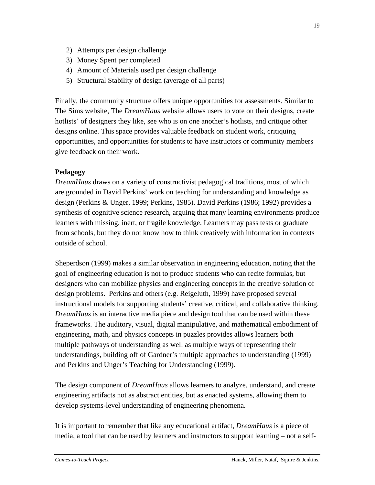- 2) Attempts per design challenge
- 3) Money Spent per completed
- 4) Amount of Materials used per design challenge
- 5) Structural Stability of design (average of all parts)

Finally, the community structure offers unique opportunities for assessments. Similar to The Sims website, The *DreamHaus* website allows users to vote on their designs, create hotlists' of designers they like, see who is on one another's hotlists, and critique other designs online. This space provides valuable feedback on student work, critiquing opportunities, and opportunities for students to have instructors or community members give feedback on their work.

# **Pedagogy**

*DreamHaus* draws on a variety of constructivist pedagogical traditions, most of which are grounded in David Perkins' work on teaching for understanding and knowledge as design (Perkins & Unger, 1999; Perkins, 1985). David Perkins (1986; 1992) provides a synthesis of cognitive science research, arguing that many learning environments produce learners with missing, inert, or fragile knowledge. Learners may pass tests or graduate from schools, but they do not know how to think creatively with information in contexts outside of school.

Sheperdson (1999) makes a similar observation in engineering education, noting that the goal of engineering education is not to produce students who can recite formulas, but designers who can mobilize physics and engineering concepts in the creative solution of design problems. Perkins and others (e.g. Reigeluth, 1999) have proposed several instructional models for supporting students' creative, critical, and collaborative thinking. *DreamHaus* is an interactive media piece and design tool that can be used within these frameworks. The auditory, visual, digital manipulative, and mathematical embodiment of engineering, math, and physics concepts in puzzles provides allows learners both multiple pathways of understanding as well as multiple ways of representing their understandings, building off of Gardner's multiple approaches to understanding (1999) and Perkins and Unger's Teaching for Understanding (1999).

The design component of *DreamHaus* allows learners to analyze, understand, and create engineering artifacts not as abstract entities, but as enacted systems, allowing them to develop systems-level understanding of engineering phenomena.

It is important to remember that like any educational artifact, *DreamHaus* is a piece of media, a tool that can be used by learners and instructors to support learning – not a self-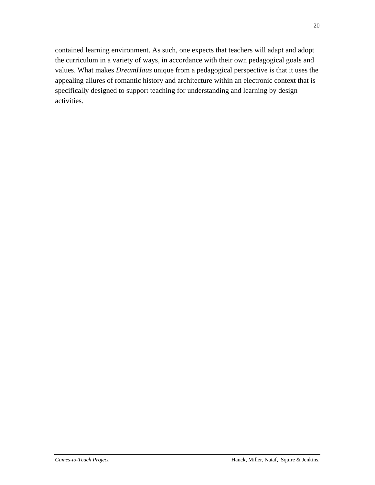contained learning environment. As such, one expects that teachers will adapt and adopt the curriculum in a variety of ways, in accordance with their own pedagogical goals and values. What makes *DreamHaus* unique from a pedagogical perspective is that it uses the appealing allures of romantic history and architecture within an electronic context that is specifically designed to support teaching for understanding and learning by design activities.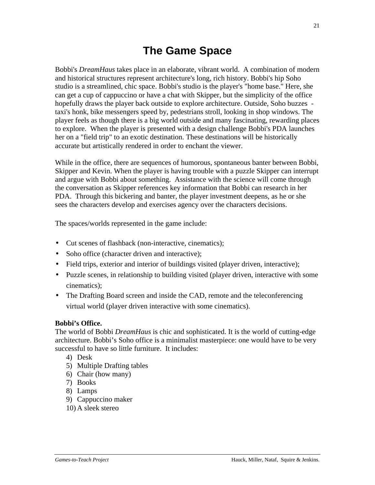# **The Game Space**

Bobbi's *DreamHaus* takes place in an elaborate, vibrant world. A combination of modern and historical structures represent architecture's long, rich history. Bobbi's hip Soho studio is a streamlined, chic space. Bobbi's studio is the player's "home base." Here, she can get a cup of cappuccino or have a chat with Skipper, but the simplicity of the office hopefully draws the player back outside to explore architecture. Outside, Soho buzzes taxi's honk, bike messengers speed by, pedestrians stroll, looking in shop windows. The player feels as though there is a big world outside and many fascinating, rewarding places to explore. When the player is presented with a design challenge Bobbi's PDA launches her on a "field trip" to an exotic destination. These destinations will be historically accurate but artistically rendered in order to enchant the viewer.

While in the office, there are sequences of humorous, spontaneous banter between Bobbi, Skipper and Kevin. When the player is having trouble with a puzzle Skipper can interrupt and argue with Bobbi about something. Assistance with the science will come through the conversation as Skipper references key information that Bobbi can research in her PDA. Through this bickering and banter, the player investment deepens, as he or she sees the characters develop and exercises agency over the characters decisions.

The spaces/worlds represented in the game include:

- Cut scenes of flashback (non-interactive, cinematics);
- Soho office (character driven and interactive);
- Field trips, exterior and interior of buildings visited (player driven, interactive);
- Puzzle scenes, in relationship to building visited (player driven, interactive with some cinematics);
- The Drafting Board screen and inside the CAD, remote and the teleconferencing virtual world (player driven interactive with some cinematics).

# **Bobbi's Office.**

The world of Bobbi *DreamHaus* is chic and sophisticated. It is the world of cutting-edge architecture. Bobbi's Soho office is a minimalist masterpiece: one would have to be very successful to have so little furniture. It includes:

- 4) Desk
- 5) Multiple Drafting tables
- 6) Chair (how many)
- 7) Books
- 8) Lamps
- 9) Cappuccino maker
- 10) A sleek stereo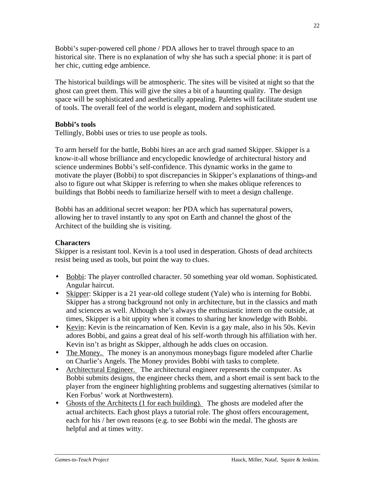Bobbi's super-powered cell phone / PDA allows her to travel through space to an historical site. There is no explanation of why she has such a special phone: it is part of her chic, cutting edge ambience.

The historical buildings will be atmospheric. The sites will be visited at night so that the ghost can greet them. This will give the sites a bit of a haunting quality. The design space will be sophisticated and aesthetically appealing. Palettes will facilitate student use of tools. The overall feel of the world is elegant, modern and sophisticated.

# **Bobbi's tools**

Tellingly, Bobbi uses or tries to use people as tools.

To arm herself for the battle, Bobbi hires an ace arch grad named Skipper. Skipper is a know-it-all whose brilliance and encyclopedic knowledge of architectural history and science undermines Bobbi's self-confidence. This dynamic works in the game to motivate the player (Bobbi) to spot discrepancies in Skipper's explanations of things-and also to figure out what Skipper is referring to when she makes oblique references to buildings that Bobbi needs to familiarize herself with to meet a design challenge.

Bobbi has an additional secret weapon: her PDA which has supernatural powers, allowing her to travel instantly to any spot on Earth and channel the ghost of the Architect of the building she is visiting.

## **Characters**

Skipper is a resistant tool. Kevin is a tool used in desperation. Ghosts of dead architects resist being used as tools, but point the way to clues.

- Bobbi: The player controlled character. 50 something year old woman. Sophisticated. Angular haircut.
- Skipper: Skipper is a 21 year-old college student (Yale) who is interning for Bobbi. Skipper has a strong background not only in architecture, but in the classics and math and sciences as well. Although she's always the enthusiastic intern on the outside, at times, Skipper is a bit uppity when it comes to sharing her knowledge with Bobbi.
- Kevin: Kevin is the reincarnation of Ken. Kevin is a gay male, also in his 50s. Kevin adores Bobbi, and gains a great deal of his self-worth through his affiliation with her. Kevin isn't as bright as Skipper, although he adds clues on occasion.
- The Money. The money is an anonymous moneybags figure modeled after Charlie on Charlie's Angels. The Money provides Bobbi with tasks to complete.
- Architectural Engineer. The architectural engineer represents the computer. As Bobbi submits designs, the engineer checks them, and a short email is sent back to the player from the engineer highlighting problems and suggesting alternatives (similar to Ken Forbus' work at Northwestern).
- Ghosts of the Architects (1 for each building). The ghosts are modeled after the actual architects. Each ghost plays a tutorial role. The ghost offers encouragement, each for his / her own reasons (e.g. to see Bobbi win the medal. The ghosts are helpful and at times witty.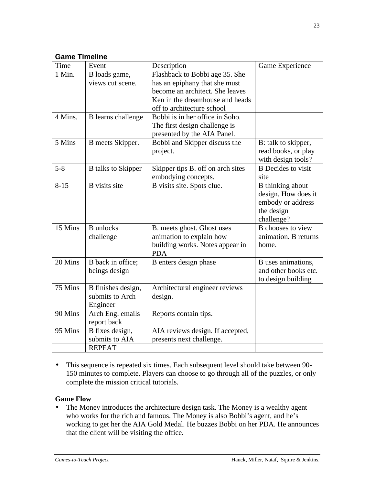# **Game Timeline**

| Time     | Event                     | Description                       | Game Experience           |
|----------|---------------------------|-----------------------------------|---------------------------|
| 1 Min.   | B loads game,             | Flashback to Bobbi age 35. She    |                           |
|          | views cut scene.          | has an epiphany that she must     |                           |
|          |                           | become an architect. She leaves   |                           |
|          |                           | Ken in the dreamhouse and heads   |                           |
|          |                           | off to architecture school        |                           |
| 4 Mins.  | <b>B</b> learns challenge | Bobbi is in her office in Soho.   |                           |
|          |                           | The first design challenge is     |                           |
|          |                           | presented by the AIA Panel.       |                           |
| 5 Mins   | B meets Skipper.          | Bobbi and Skipper discuss the     | B: talk to skipper,       |
|          |                           | project.                          | read books, or play       |
|          |                           |                                   | with design tools?        |
| $5 - 8$  | <b>B</b> talks to Skipper | Skipper tips B. off on arch sites | <b>B</b> Decides to visit |
|          |                           | embodying concepts.               | site                      |
| $8 - 15$ | <b>B</b> visits site      | B visits site. Spots clue.        | B thinking about          |
|          |                           |                                   | design. How does it       |
|          |                           |                                   | embody or address         |
|          |                           |                                   | the design                |
|          |                           |                                   | challenge?                |
| 15 Mins  | <b>B</b> unlocks          | B. meets ghost. Ghost uses        | B chooses to view         |
|          | challenge                 | animation to explain how          | animation. B returns      |
|          |                           | building works. Notes appear in   | home.                     |
|          |                           | <b>PDA</b>                        |                           |
| 20 Mins  | B back in office;         | B enters design phase             | B uses animations,        |
|          | beings design             |                                   | and other books etc.      |
|          |                           |                                   | to design building        |
| 75 Mins  | B finishes design,        | Architectural engineer reviews    |                           |
|          | submits to Arch           | design.                           |                           |
|          | Engineer                  |                                   |                           |
| 90 Mins  | Arch Eng. emails          | Reports contain tips.             |                           |
|          | report back               |                                   |                           |
| 95 Mins  | B fixes design,           | AIA reviews design. If accepted,  |                           |
|          | submits to AIA            | presents next challenge.          |                           |
|          | <b>REPEAT</b>             |                                   |                           |

• This sequence is repeated six times. Each subsequent level should take between 90- 150 minutes to complete. Players can choose to go through all of the puzzles, or only complete the mission critical tutorials.

# **Game Flow**

• The Money introduces the architecture design task. The Money is a wealthy agent who works for the rich and famous. The Money is also Bobbi's agent, and he's working to get her the AIA Gold Medal. He buzzes Bobbi on her PDA. He announces that the client will be visiting the office.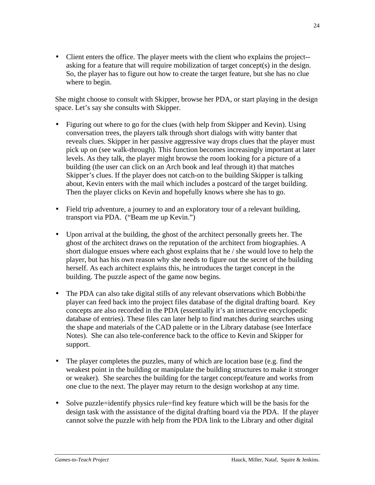• Client enters the office. The player meets with the client who explains the project- asking for a feature that will require mobilization of target concept(s) in the design. So, the player has to figure out how to create the target feature, but she has no clue where to begin.

She might choose to consult with Skipper, browse her PDA, or start playing in the design space. Let's say she consults with Skipper.

- Figuring out where to go for the clues (with help from Skipper and Kevin). Using conversation trees, the players talk through short dialogs with witty banter that reveals clues. Skipper in her passive aggressive way drops clues that the player must pick up on (see walk-through). This function becomes increasingly important at later levels. As they talk, the player might browse the room looking for a picture of a building (the user can click on an Arch book and leaf through it) that matches Skipper's clues. If the player does not catch-on to the building Skipper is talking about, Kevin enters with the mail which includes a postcard of the target building. Then the player clicks on Kevin and hopefully knows where she has to go.
- Field trip adventure, a journey to and an exploratory tour of a relevant building, transport via PDA. ("Beam me up Kevin.")
- Upon arrival at the building, the ghost of the architect personally greets her. The ghost of the architect draws on the reputation of the architect from biographies. A short dialogue ensues where each ghost explains that he / she would love to help the player, but has his own reason why she needs to figure out the secret of the building herself. As each architect explains this, he introduces the target concept in the building. The puzzle aspect of the game now begins.
- The PDA can also take digital stills of any relevant observations which Bobbi/the player can feed back into the project files database of the digital drafting board. Key concepts are also recorded in the PDA (essentially it's an interactive encyclopedic database of entries). These files can later help to find matches during searches using the shape and materials of the CAD palette or in the Library database (see Interface Notes). She can also tele-conference back to the office to Kevin and Skipper for support.
- The player completes the puzzles, many of which are location base (e.g. find the weakest point in the building or manipulate the building structures to make it stronger or weaker). She searches the building for the target concept/feature and works from one clue to the next. The player may return to the design workshop at any time.
- Solve puzzle=identify physics rule=find key feature which will be the basis for the design task with the assistance of the digital drafting board via the PDA. If the player cannot solve the puzzle with help from the PDA link to the Library and other digital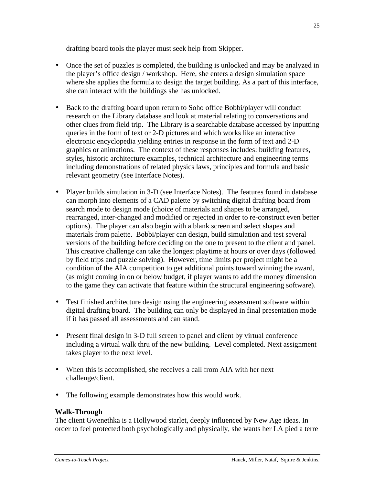drafting board tools the player must seek help from Skipper.

- Once the set of puzzles is completed, the building is unlocked and may be analyzed in the player's office design / workshop. Here, she enters a design simulation space where she applies the formula to design the target building. As a part of this interface, she can interact with the buildings she has unlocked.
- Back to the drafting board upon return to Soho office Bobbi/player will conduct research on the Library database and look at material relating to conversations and other clues from field trip. The Library is a searchable database accessed by inputting queries in the form of text or 2-D pictures and which works like an interactive electronic encyclopedia yielding entries in response in the form of text and 2-D graphics or animations. The context of these responses includes: building features, styles, historic architecture examples, technical architecture and engineering terms including demonstrations of related physics laws, principles and formula and basic relevant geometry (see Interface Notes).
- Player builds simulation in 3-D (see Interface Notes). The features found in database can morph into elements of a CAD palette by switching digital drafting board from search mode to design mode (choice of materials and shapes to be arranged, rearranged, inter-changed and modified or rejected in order to re-construct even better options). The player can also begin with a blank screen and select shapes and materials from palette. Bobbi/player can design, build simulation and test several versions of the building before deciding on the one to present to the client and panel. This creative challenge can take the longest playtime at hours or over days (followed by field trips and puzzle solving). However, time limits per project might be a condition of the AIA competition to get additional points toward winning the award, (as might coming in on or below budget, if player wants to add the money dimension to the game they can activate that feature within the structural engineering software).
- Test finished architecture design using the engineering assessment software within digital drafting board. The building can only be displayed in final presentation mode if it has passed all assessments and can stand.
- Present final design in 3-D full screen to panel and client by virtual conference including a virtual walk thru of the new building. Level completed. Next assignment takes player to the next level.
- When this is accomplished, she receives a call from AIA with her next challenge/client.
- The following example demonstrates how this would work.

# **Walk-Through**

The client Gwenethka is a Hollywood starlet, deeply influenced by New Age ideas. In order to feel protected both psychologically and physically, she wants her LA pied a terre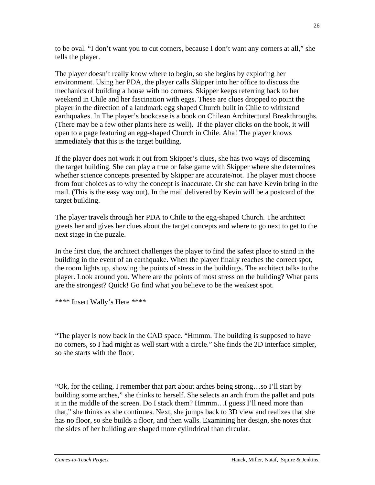to be oval. "I don't want you to cut corners, because I don't want any corners at all," she tells the player.

The player doesn't really know where to begin, so she begins by exploring her environment. Using her PDA, the player calls Skipper into her office to discuss the mechanics of building a house with no corners. Skipper keeps referring back to her weekend in Chile and her fascination with eggs. These are clues dropped to point the player in the direction of a landmark egg shaped Church built in Chile to withstand earthquakes. In The player's bookcase is a book on Chilean Architectural Breakthroughs. (There may be a few other plants here as well). If the player clicks on the book, it will open to a page featuring an egg-shaped Church in Chile. Aha! The player knows immediately that this is the target building.

If the player does not work it out from Skipper's clues, she has two ways of discerning the target building. She can play a true or false game with Skipper where she determines whether science concepts presented by Skipper are accurate/not. The player must choose from four choices as to why the concept is inaccurate. Or she can have Kevin bring in the mail. (This is the easy way out). In the mail delivered by Kevin will be a postcard of the target building.

The player travels through her PDA to Chile to the egg-shaped Church. The architect greets her and gives her clues about the target concepts and where to go next to get to the next stage in the puzzle.

In the first clue, the architect challenges the player to find the safest place to stand in the building in the event of an earthquake. When the player finally reaches the correct spot, the room lights up, showing the points of stress in the buildings. The architect talks to the player. Look around you. Where are the points of most stress on the building? What parts are the strongest? Quick! Go find what you believe to be the weakest spot.

\*\*\*\* Insert Wally's Here \*\*\*\*

"The player is now back in the CAD space. "Hmmm. The building is supposed to have no corners, so I had might as well start with a circle." She finds the 2D interface simpler, so she starts with the floor.

"Ok, for the ceiling, I remember that part about arches being strong…so I'll start by building some arches," she thinks to herself. She selects an arch from the pallet and puts it in the middle of the screen. Do I stack them? Hmmm…I guess I'll need more than that," she thinks as she continues. Next, she jumps back to 3D view and realizes that she has no floor, so she builds a floor, and then walls. Examining her design, she notes that the sides of her building are shaped more cylindrical than circular.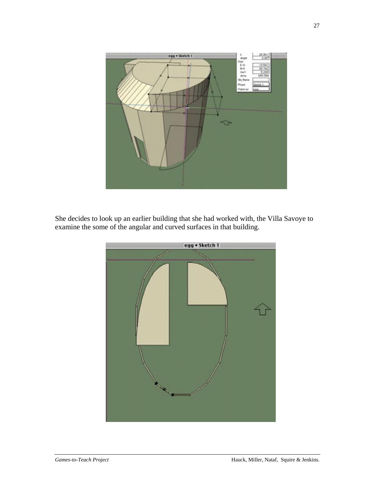

She decides to look up an earlier building that she had worked with, the Villa Savoye to examine the some of the angular and curved surfaces in that building.

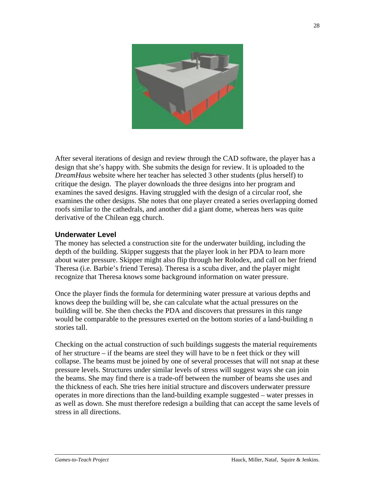

After several iterations of design and review through the CAD software, the player has a design that she's happy with. She submits the design for review. It is uploaded to the *DreamHaus* website where her teacher has selected 3 other students (plus herself) to critique the design. The player downloads the three designs into her program and examines the saved designs. Having struggled with the design of a circular roof, she examines the other designs. She notes that one player created a series overlapping domed roofs similar to the cathedrals, and another did a giant dome, whereas hers was quite derivative of the Chilean egg church.

#### **Underwater Level**

The money has selected a construction site for the underwater building, including the depth of the building. Skipper suggests that the player look in her PDA to learn more about water pressure. Skipper might also flip through her Rolodex, and call on her friend Theresa (i.e. Barbie's friend Teresa). Theresa is a scuba diver, and the player might recognize that Theresa knows some background information on water pressure.

Once the player finds the formula for determining water pressure at various depths and knows deep the building will be, she can calculate what the actual pressures on the building will be. She then checks the PDA and discovers that pressures in this range would be comparable to the pressures exerted on the bottom stories of a land-building n stories tall.

Checking on the actual construction of such buildings suggests the material requirements of her structure – if the beams are steel they will have to be n feet thick or they will collapse. The beams must be joined by one of several processes that will not snap at these pressure levels. Structures under similar levels of stress will suggest ways she can join the beams. She may find there is a trade-off between the number of beams she uses and the thickness of each. She tries here initial structure and discovers underwater pressure operates in more directions than the land-building example suggested – water presses in as well as down. She must therefore redesign a building that can accept the same levels of stress in all directions.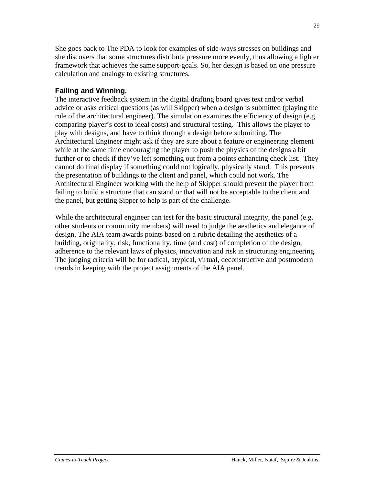She goes back to The PDA to look for examples of side-ways stresses on buildings and she discovers that some structures distribute pressure more evenly, thus allowing a lighter framework that achieves the same support-goals. So, her design is based on one pressure calculation and analogy to existing structures.

# **Failing and Winning.**

The interactive feedback system in the digital drafting board gives text and/or verbal advice or asks critical questions (as will Skipper) when a design is submitted (playing the role of the architectural engineer). The simulation examines the efficiency of design (e.g. comparing player's cost to ideal costs) and structural testing. This allows the player to play with designs, and have to think through a design before submitting. The Architectural Engineer might ask if they are sure about a feature or engineering element while at the same time encouraging the player to push the physics of the designs a bit further or to check if they've left something out from a points enhancing check list. They cannot do final display if something could not logically, physically stand. This prevents the presentation of buildings to the client and panel, which could not work. The Architectural Engineer working with the help of Skipper should prevent the player from failing to build a structure that can stand or that will not be acceptable to the client and the panel, but getting Sipper to help is part of the challenge.

While the architectural engineer can test for the basic structural integrity, the panel (e.g. other students or community members) will need to judge the aesthetics and elegance of design. The AIA team awards points based on a rubric detailing the aesthetics of a building, originality, risk, functionality, time (and cost) of completion of the design, adherence to the relevant laws of physics, innovation and risk in structuring engineering. The judging criteria will be for radical, atypical, virtual, deconstructive and postmodern trends in keeping with the project assignments of the AIA panel.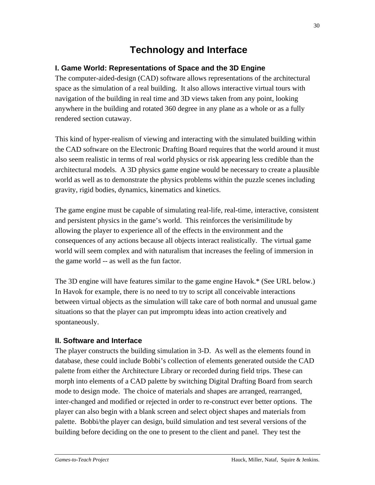# **Technology and Interface**

# **I. Game World: Representations of Space and the 3D Engine**

The computer-aided-design (CAD) software allows representations of the architectural space as the simulation of a real building. It also allows interactive virtual tours with navigation of the building in real time and 3D views taken from any point, looking anywhere in the building and rotated 360 degree in any plane as a whole or as a fully rendered section cutaway.

This kind of hyper-realism of viewing and interacting with the simulated building within the CAD software on the Electronic Drafting Board requires that the world around it must also seem realistic in terms of real world physics or risk appearing less credible than the architectural models. A 3D physics game engine would be necessary to create a plausible world as well as to demonstrate the physics problems within the puzzle scenes including gravity, rigid bodies, dynamics, kinematics and kinetics.

The game engine must be capable of simulating real-life, real-time, interactive, consistent and persistent physics in the game's world. This reinforces the verisimilitude by allowing the player to experience all of the effects in the environment and the consequences of any actions because all objects interact realistically. The virtual game world will seem complex and with naturalism that increases the feeling of immersion in the game world -- as well as the fun factor.

The 3D engine will have features similar to the game engine Havok.\* (See URL below.) In Havok for example, there is no need to try to script all conceivable interactions between virtual objects as the simulation will take care of both normal and unusual game situations so that the player can put impromptu ideas into action creatively and spontaneously.

# **II. Software and Interface**

The player constructs the building simulation in 3-D. As well as the elements found in database, these could include Bobbi's collection of elements generated outside the CAD palette from either the Architecture Library or recorded during field trips. These can morph into elements of a CAD palette by switching Digital Drafting Board from search mode to design mode. The choice of materials and shapes are arranged, rearranged, inter-changed and modified or rejected in order to re-construct ever better options. The player can also begin with a blank screen and select object shapes and materials from palette. Bobbi/the player can design, build simulation and test several versions of the building before deciding on the one to present to the client and panel. They test the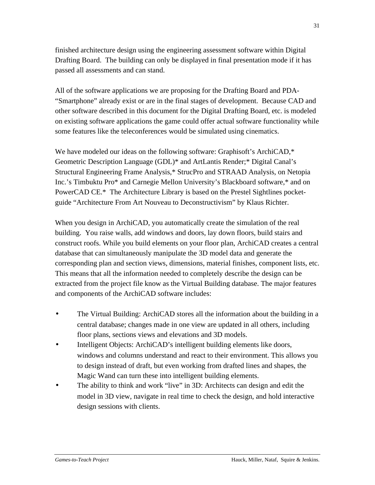finished architecture design using the engineering assessment software within Digital Drafting Board. The building can only be displayed in final presentation mode if it has passed all assessments and can stand.

All of the software applications we are proposing for the Drafting Board and PDA- "Smartphone" already exist or are in the final stages of development. Because CAD and other software described in this document for the Digital Drafting Board, etc. is modeled on existing software applications the game could offer actual software functionality while some features like the teleconferences would be simulated using cinematics.

We have modeled our ideas on the following software: Graphisoft's ArchiCAD,\* Geometric Description Language (GDL)\* and ArtLantis Render;\* Digital Canal's Structural Engineering Frame Analysis,\* StrucPro and STRAAD Analysis, on Netopia Inc.'s Timbuktu Pro\* and Carnegie Mellon University's Blackboard software,\* and on PowerCAD CE.\* The Architecture Library is based on the Prestel Sightlines pocketguide "Architecture From Art Nouveau to Deconstructivism" by Klaus Richter.

When you design in ArchiCAD, you automatically create the simulation of the real building. You raise walls, add windows and doors, lay down floors, build stairs and construct roofs. While you build elements on your floor plan, ArchiCAD creates a central database that can simultaneously manipulate the 3D model data and generate the corresponding plan and section views, dimensions, material finishes, component lists, etc. This means that all the information needed to completely describe the design can be extracted from the project file know as the Virtual Building database. The major features and components of the ArchiCAD software includes:

- The Virtual Building: ArchiCAD stores all the information about the building in a central database; changes made in one view are updated in all others, including floor plans, sections views and elevations and 3D models.
- Intelligent Objects: ArchiCAD's intelligent building elements like doors, windows and columns understand and react to their environment. This allows you to design instead of draft, but even working from drafted lines and shapes, the Magic Wand can turn these into intelligent building elements.
- The ability to think and work "live" in 3D: Architects can design and edit the model in 3D view, navigate in real time to check the design, and hold interactive design sessions with clients.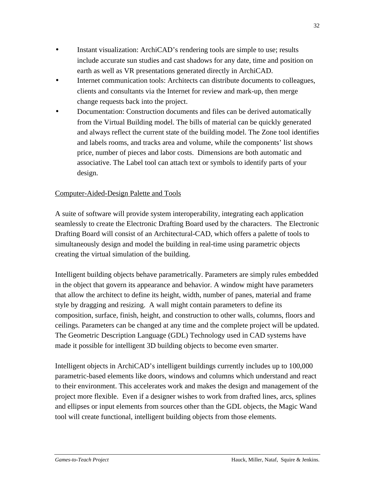- Instant visualization: ArchiCAD's rendering tools are simple to use; results include accurate sun studies and cast shadows for any date, time and position on earth as well as VR presentations generated directly in ArchiCAD.
- Internet communication tools: Architects can distribute documents to colleagues, clients and consultants via the Internet for review and mark-up, then merge change requests back into the project.
- Documentation: Construction documents and files can be derived automatically from the Virtual Building model. The bills of material can be quickly generated and always reflect the current state of the building model. The Zone tool identifies and labels rooms, and tracks area and volume, while the components' list shows price, number of pieces and labor costs. Dimensions are both automatic and associative. The Label tool can attach text or symbols to identify parts of your design.

# Computer-Aided-Design Palette and Tools

A suite of software will provide system interoperability, integrating each application seamlessly to create the Electronic Drafting Board used by the characters. The Electronic Drafting Board will consist of an Architectural-CAD, which offers a palette of tools to simultaneously design and model the building in real-time using parametric objects creating the virtual simulation of the building.

Intelligent building objects behave parametrically. Parameters are simply rules embedded in the object that govern its appearance and behavior. A window might have parameters that allow the architect to define its height, width, number of panes, material and frame style by dragging and resizing. A wall might contain parameters to define its composition, surface, finish, height, and construction to other walls, columns, floors and ceilings. Parameters can be changed at any time and the complete project will be updated. The Geometric Description Language (GDL) Technology used in CAD systems have made it possible for intelligent 3D building objects to become even smarter.

Intelligent objects in ArchiCAD's intelligent buildings currently includes up to 100,000 parametric-based elements like doors, windows and columns which understand and react to their environment. This accelerates work and makes the design and management of the project more flexible. Even if a designer wishes to work from drafted lines, arcs, splines and ellipses or input elements from sources other than the GDL objects, the Magic Wand tool will create functional, intelligent building objects from those elements.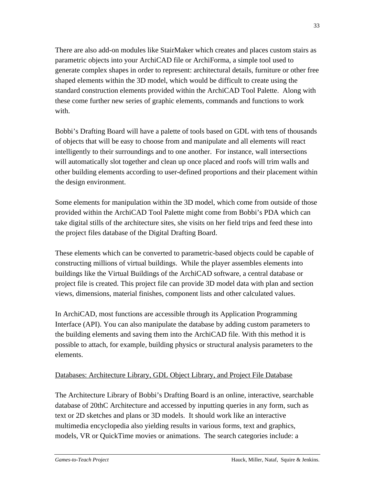There are also add-on modules like StairMaker which creates and places custom stairs as parametric objects into your ArchiCAD file or ArchiForma, a simple tool used to generate complex shapes in order to represent: architectural details, furniture or other free shaped elements within the 3D model, which would be difficult to create using the standard construction elements provided within the ArchiCAD Tool Palette. Along with these come further new series of graphic elements, commands and functions to work with.

Bobbi's Drafting Board will have a palette of tools based on GDL with tens of thousands of objects that will be easy to choose from and manipulate and all elements will react intelligently to their surroundings and to one another. For instance, wall intersections will automatically slot together and clean up once placed and roofs will trim walls and other building elements according to user-defined proportions and their placement within the design environment.

Some elements for manipulation within the 3D model, which come from outside of those provided within the ArchiCAD Tool Palette might come from Bobbi's PDA which can take digital stills of the architecture sites, she visits on her field trips and feed these into the project files database of the Digital Drafting Board.

These elements which can be converted to parametric-based objects could be capable of constructing millions of virtual buildings. While the player assembles elements into buildings like the Virtual Buildings of the ArchiCAD software, a central database or project file is created. This project file can provide 3D model data with plan and section views, dimensions, material finishes, component lists and other calculated values.

In ArchiCAD, most functions are accessible through its Application Programming Interface (API). You can also manipulate the database by adding custom parameters to the building elements and saving them into the ArchiCAD file. With this method it is possible to attach, for example, building physics or structural analysis parameters to the elements.

# Databases: Architecture Library, GDL Object Library, and Project File Database

The Architecture Library of Bobbi's Drafting Board is an online, interactive, searchable database of 20thC Architecture and accessed by inputting queries in any form, such as text or 2D sketches and plans or 3D models. It should work like an interactive multimedia encyclopedia also yielding results in various forms, text and graphics, models, VR or QuickTime movies or animations. The search categories include: a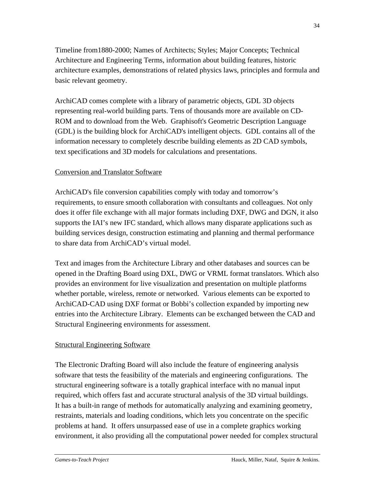Timeline from1880-2000; Names of Architects; Styles; Major Concepts; Technical Architecture and Engineering Terms, information about building features, historic architecture examples, demonstrations of related physics laws, principles and formula and basic relevant geometry.

ArchiCAD comes complete with a library of parametric objects, GDL 3D objects representing real-world building parts. Tens of thousands more are available on CD-ROM and to download from the Web. Graphisoft's Geometric Description Language (GDL) is the building block for ArchiCAD's intelligent objects. GDL contains all of the information necessary to completely describe building elements as 2D CAD symbols, text specifications and 3D models for calculations and presentations.

#### Conversion and Translator Software

ArchiCAD's file conversion capabilities comply with today and tomorrow's requirements, to ensure smooth collaboration with consultants and colleagues. Not only does it offer file exchange with all major formats including DXF, DWG and DGN, it also supports the IAI's new IFC standard, which allows many disparate applications such as building services design, construction estimating and planning and thermal performance to share data from ArchiCAD's virtual model.

Text and images from the Architecture Library and other databases and sources can be opened in the Drafting Board using DXL, DWG or VRML format translators. Which also provides an environment for live visualization and presentation on multiple platforms whether portable, wireless, remote or networked. Various elements can be exported to ArchiCAD-CAD using DXF format or Bobbi's collection expanded by importing new entries into the Architecture Library. Elements can be exchanged between the CAD and Structural Engineering environments for assessment.

#### Structural Engineering Software

The Electronic Drafting Board will also include the feature of engineering analysis software that tests the feasibility of the materials and engineering configurations. The structural engineering software is a totally graphical interface with no manual input required, which offers fast and accurate structural analysis of the 3D virtual buildings. It has a built-in range of methods for automatically analyzing and examining geometry, restraints, materials and loading conditions, which lets you concentrate on the specific problems at hand. It offers unsurpassed ease of use in a complete graphics working environment, it also providing all the computational power needed for complex structural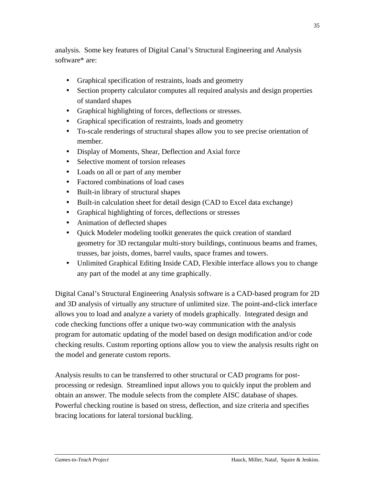analysis. Some key features of Digital Canal's Structural Engineering and Analysis software\* are:

- Graphical specification of restraints, loads and geometry
- Section property calculator computes all required analysis and design properties of standard shapes
- Graphical highlighting of forces, deflections or stresses.
- Graphical specification of restraints, loads and geometry
- To-scale renderings of structural shapes allow you to see precise orientation of member.
- Display of Moments, Shear, Deflection and Axial force
- Selective moment of torsion releases
- Loads on all or part of any member
- Factored combinations of load cases
- Built-in library of structural shapes
- Built-in calculation sheet for detail design (CAD to Excel data exchange)
- Graphical highlighting of forces, deflections or stresses
- Animation of deflected shapes
- Ouick Modeler modeling toolkit generates the quick creation of standard geometry for 3D rectangular multi-story buildings, continuous beams and frames, trusses, bar joists, domes, barrel vaults, space frames and towers.
- Unlimited Graphical Editing Inside CAD, Flexible interface allows you to change any part of the model at any time graphically.

Digital Canal's Structural Engineering Analysis software is a CAD-based program for 2D and 3D analysis of virtually any structure of unlimited size. The point-and-click interface allows you to load and analyze a variety of models graphically. Integrated design and code checking functions offer a unique two-way communication with the analysis program for automatic updating of the model based on design modification and/or code checking results. Custom reporting options allow you to view the analysis results right on the model and generate custom reports.

Analysis results to can be transferred to other structural or CAD programs for postprocessing or redesign. Streamlined input allows you to quickly input the problem and obtain an answer. The module selects from the complete AISC database of shapes. Powerful checking routine is based on stress, deflection, and size criteria and specifies bracing locations for lateral torsional buckling.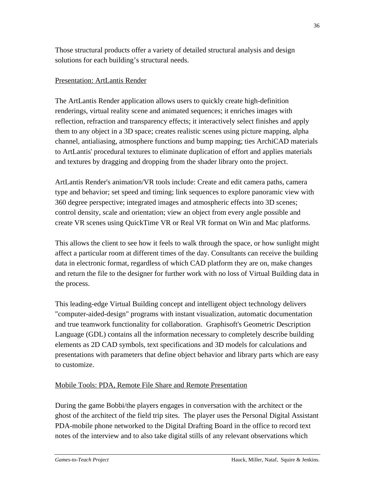Those structural products offer a variety of detailed structural analysis and design solutions for each building's structural needs.

#### Presentation: ArtLantis Render

The ArtLantis Render application allows users to quickly create high-definition renderings, virtual reality scene and animated sequences; it enriches images with reflection, refraction and transparency effects; it interactively select finishes and apply them to any object in a 3D space; creates realistic scenes using picture mapping, alpha channel, antialiasing, atmosphere functions and bump mapping; ties ArchiCAD materials to ArtLantis' procedural textures to eliminate duplication of effort and applies materials and textures by dragging and dropping from the shader library onto the project.

ArtLantis Render's animation/VR tools include: Create and edit camera paths, camera type and behavior; set speed and timing; link sequences to explore panoramic view with 360 degree perspective; integrated images and atmospheric effects into 3D scenes; control density, scale and orientation; view an object from every angle possible and create VR scenes using QuickTime VR or Real VR format on Win and Mac platforms.

This allows the client to see how it feels to walk through the space, or how sunlight might affect a particular room at different times of the day. Consultants can receive the building data in electronic format, regardless of which CAD platform they are on, make changes and return the file to the designer for further work with no loss of Virtual Building data in the process.

This leading-edge Virtual Building concept and intelligent object technology delivers "computer-aided-design" programs with instant visualization, automatic documentation and true teamwork functionality for collaboration. Graphisoft's Geometric Description Language (GDL) contains all the information necessary to completely describe building elements as 2D CAD symbols, text specifications and 3D models for calculations and presentations with parameters that define object behavior and library parts which are easy to customize.

# Mobile Tools: PDA, Remote File Share and Remote Presentation

During the game Bobbi/the players engages in conversation with the architect or the ghost of the architect of the field trip sites. The player uses the Personal Digital Assistant PDA-mobile phone networked to the Digital Drafting Board in the office to record text notes of the interview and to also take digital stills of any relevant observations which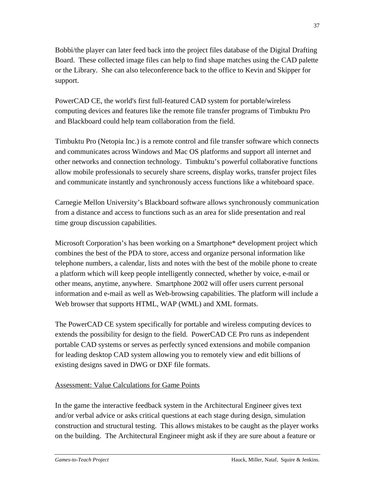Bobbi/the player can later feed back into the project files database of the Digital Drafting Board. These collected image files can help to find shape matches using the CAD palette or the Library. She can also teleconference back to the office to Kevin and Skipper for support.

PowerCAD CE, the world's first full-featured CAD system for portable/wireless computing devices and features like the remote file transfer programs of Timbuktu Pro and Blackboard could help team collaboration from the field.

Timbuktu Pro (Netopia Inc.) is a remote control and file transfer software which connects and communicates across Windows and Mac OS platforms and support all internet and other networks and connection technology. Timbuktu's powerful collaborative functions allow mobile professionals to securely share screens, display works, transfer project files and communicate instantly and synchronously access functions like a whiteboard space.

Carnegie Mellon University's Blackboard software allows synchronously communication from a distance and access to functions such as an area for slide presentation and real time group discussion capabilities.

Microsoft Corporation's has been working on a Smartphone\* development project which combines the best of the PDA to store, access and organize personal information like telephone numbers, a calendar, lists and notes with the best of the mobile phone to create a platform which will keep people intelligently connected, whether by voice, e-mail or other means, anytime, anywhere. Smartphone 2002 will offer users current personal information and e-mail as well as Web-browsing capabilities. The platform will include a Web browser that supports HTML, WAP (WML) and XML formats.

The PowerCAD CE system specifically for portable and wireless computing devices to extends the possibility for design to the field. PowerCAD CE Pro runs as independent portable CAD systems or serves as perfectly synced extensions and mobile companion for leading desktop CAD system allowing you to remotely view and edit billions of existing designs saved in DWG or DXF file formats.

# Assessment: Value Calculations for Game Points

In the game the interactive feedback system in the Architectural Engineer gives text and/or verbal advice or asks critical questions at each stage during design, simulation construction and structural testing. This allows mistakes to be caught as the player works on the building. The Architectural Engineer might ask if they are sure about a feature or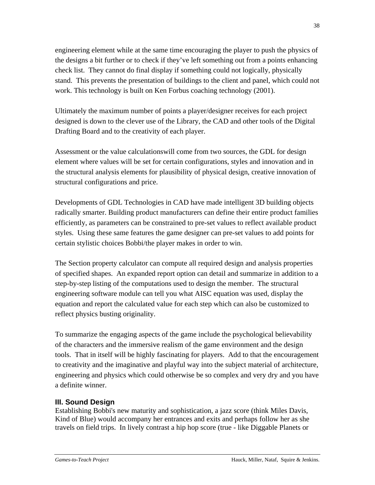engineering element while at the same time encouraging the player to push the physics of the designs a bit further or to check if they've left something out from a points enhancing check list. They cannot do final display if something could not logically, physically stand. This prevents the presentation of buildings to the client and panel, which could not work. This technology is built on Ken Forbus coaching technology (2001).

Ultimately the maximum number of points a player/designer receives for each project designed is down to the clever use of the Library, the CAD and other tools of the Digital Drafting Board and to the creativity of each player.

Assessment or the value calculationswill come from two sources, the GDL for design element where values will be set for certain configurations, styles and innovation and in the structural analysis elements for plausibility of physical design, creative innovation of structural configurations and price.

Developments of GDL Technologies in CAD have made intelligent 3D building objects radically smarter. Building product manufacturers can define their entire product families efficiently, as parameters can be constrained to pre-set values to reflect available product styles. Using these same features the game designer can pre-set values to add points for certain stylistic choices Bobbi/the player makes in order to win.

The Section property calculator can compute all required design and analysis properties of specified shapes. An expanded report option can detail and summarize in addition to a step-by-step listing of the computations used to design the member. The structural engineering software module can tell you what AISC equation was used, display the equation and report the calculated value for each step which can also be customized to reflect physics busting originality.

To summarize the engaging aspects of the game include the psychological believability of the characters and the immersive realism of the game environment and the design tools. That in itself will be highly fascinating for players. Add to that the encouragement to creativity and the imaginative and playful way into the subject material of architecture, engineering and physics which could otherwise be so complex and very dry and you have a definite winner.

# **III. Sound Design**

Establishing Bobbi's new maturity and sophistication, a jazz score (think Miles Davis, Kind of Blue) would accompany her entrances and exits and perhaps follow her as she travels on field trips. In lively contrast a hip hop score (true - like Diggable Planets or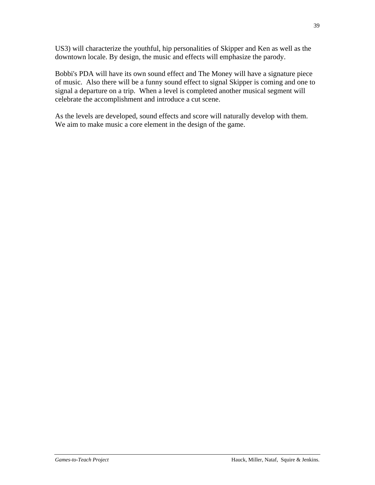US3) will characterize the youthful, hip personalities of Skipper and Ken as well as the downtown locale. By design, the music and effects will emphasize the parody.

Bobbi's PDA will have its own sound effect and The Money will have a signature piece of music. Also there will be a funny sound effect to signal Skipper is coming and one to signal a departure on a trip. When a level is completed another musical segment will celebrate the accomplishment and introduce a cut scene.

As the levels are developed, sound effects and score will naturally develop with them. We aim to make music a core element in the design of the game.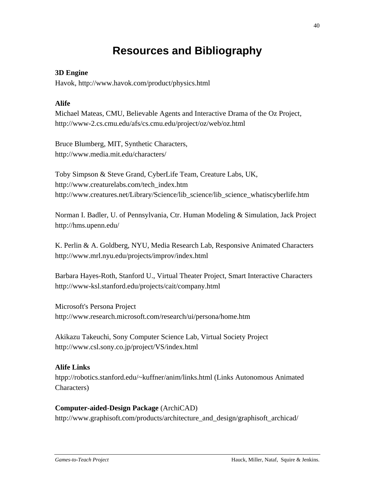# **Resources and Bibliography**

## **3D Engine**

Havok, http://www.havok.com/product/physics.html

## **Alife**

Michael Mateas, CMU, Believable Agents and Interactive Drama of the Oz Project, http://www-2.cs.cmu.edu/afs/cs.cmu.edu/project/oz/web/oz.html

Bruce Blumberg, MIT, Synthetic Characters, http://www.media.mit.edu/characters/

Toby Simpson & Steve Grand, CyberLife Team, Creature Labs, UK, http://www.creaturelabs.com/tech\_index.htm http://www.creatures.net/Library/Science/lib\_science/lib\_science\_whatiscyberlife.htm

Norman I. Badler, U. of Pennsylvania, Ctr. Human Modeling & Simulation, Jack Project http://hms.upenn.edu/

K. Perlin & A. Goldberg, NYU, Media Research Lab, Responsive Animated Characters http://www.mrl.nyu.edu/projects/improv/index.html

Barbara Hayes-Roth, Stanford U., Virtual Theater Project, Smart Interactive Characters http://www-ksl.stanford.edu/projects/cait/company.html

Microsoft's Persona Project http://www.research.microsoft.com/research/ui/persona/home.htm

Akikazu Takeuchi, Sony Computer Science Lab, Virtual Society Project http://www.csl.sony.co.jp/project/VS/index.html

# **Alife Links**

htpp://robotics.stanford.edu/~kuffner/anim/links.html (Links Autonomous Animated Characters)

#### **Computer-aided-Design Package** (ArchiCAD)

http://www.graphisoft.com/products/architecture\_and\_design/graphisoft\_archicad/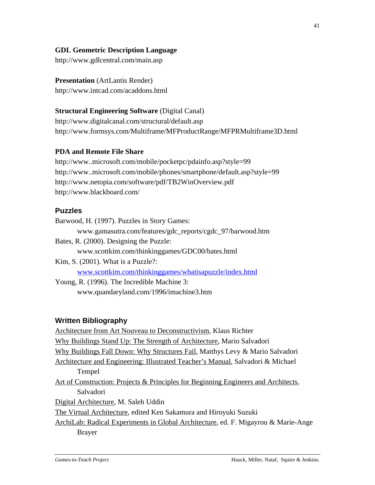### **GDL Geometric Description Language**

http://www.gdlcentral.com/main.asp

**Presentation** (ArtLantis Render) http://www.intcad.com/acaddons.html

#### **Structural Engineering Software (Digital Canal)**

http://www.digitalcanal.com/structural/default.asp http://www.formsys.com/Multiframe/MFProductRange/MFPRMultiframe3D.html

#### **PDA and Remote File Share**

http://www..microsoft.com/mobile/pocketpc/pdainfo.asp?style=99 http://www..microsoft.com/mobile/phones/smartphone/default.asp?style=99 http://www.netopia.com/software/pdf/TB2WinOverview.pdf http://www.blackboard.com/

#### **Puzzles**

Barwood, H. (1997). Puzzles in Story Games: www.gamasutra.com/features/gdc\_reports/cgdc\_97/barwood.htm Bates, R. (2000). Designing the Puzzle: www.scottkim.com/thinkinggames/GDC00/bates.html Kim, S. (2001). What is a Puzzle?: www.scottkim.com/thinkinggames/whatisapuzzle/index.html

Young, R. (1996). The Incredible Machine 3: www.quandaryland.com/1996/imachine3.htm

# **Written Bibliography**

Architecture from Art Nouveau to Deconstructivism, Klaus Richter Why Buildings Stand Up: The Strength of Architecture, Mario Salvadori Why Buildings Fall Down: Why Structures Fail, Matthys Levy & Mario Salvadori Architecture and Engineering: Illustrated Teacher's Manual, Salvadori & Michael Tempel Art of Construction: Projects & Principles for Beginning Engineers and Architects, Salvadori Digital Architecture, M. Saleh Uddin The Virtual Architecture, edited Ken Sakamura and Hiroyuki Suzuki ArchiLab: Radical Experiments in Global Architecture, ed. F. Migayrou & Marie-Ange Brayer